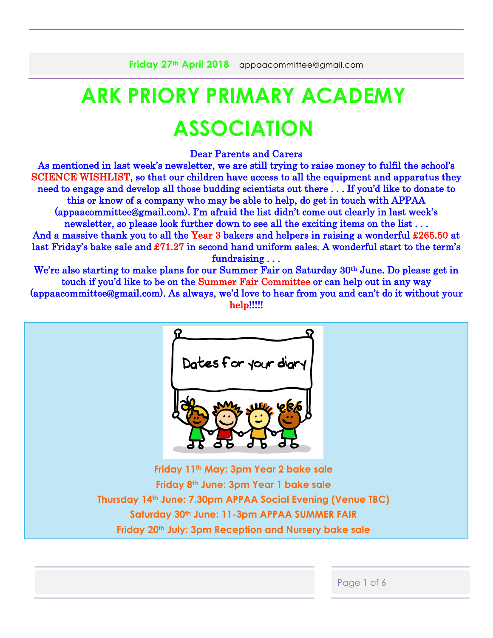# **ARK PRIORY PRIMARY ACADEMY ASSOCIATION**

Dear Parents and Carers

As mentioned in last week's newsletter, we are still trying to raise money to fulfil the school's SCIENCE WISHLIST, so that our children have access to all the equipment and apparatus they need to engage and develop all those budding scientists out there . . . If you'd like to donate to this or know of a company who may be able to help, do get in touch with APPAA (appaacommittee@gmail.com). I'm afraid the list didn't come out clearly in last week's newsletter, so please look further down to see all the exciting items on the list... And a massive thank you to all the Year 3 bakers and helpers in raising a wonderful £265.50 at last Friday's bake sale and £71.27 in second hand uniform sales. A wonderful start to the term's fundraising . . .

We're also starting to make plans for our Summer Fair on Saturday 30<sup>th</sup> June. Do please get in touch if you'd like to be on the Summer Fair Committee or can help out in any way (appaacommittee@gmail.com). As always, we'd love to hear from you and can't do it without your help!!!!!

Dates for your diary **Friday 11th May: 3pm Year 2 bake sale Friday 8th June: 3pm Year 1 bake sale Thursday 14th June: 7.30pm APPAA Social Evening (Venue TBC) Saturday 30th June: 11-3pm APPAA SUMMER FAIR Friday 20th July: 3pm Reception and Nursery bake sale**

|  | <b>POOL</b><br>- -<br>$\sim$ $\sim$ |
|--|-------------------------------------|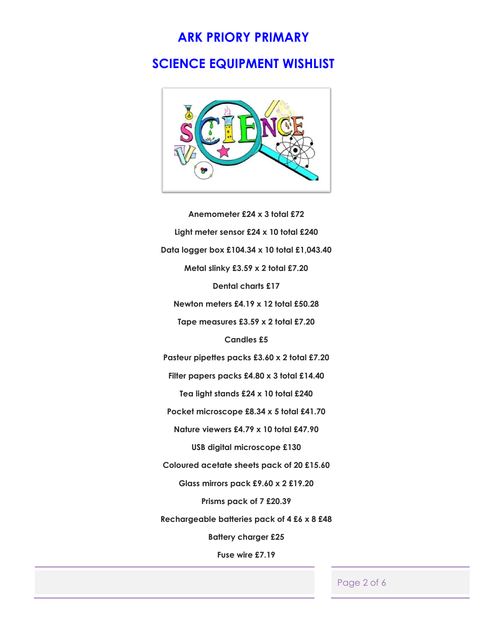## **ARK PRIORY PRIMARY**

### **SCIENCE EQUIPMENT WISHLIST**



**Anemometer £24 x 3 total £72 Light meter sensor £24 x 10 total £240 Data logger box £104.34 x 10 total £1,043.40 Metal slinky £3.59 x 2 total £7.20 Dental charts £17 Newton meters £4.19 x 12 total £50.28 Tape measures £3.59 x 2 total £7.20 Candles £5 Pasteur pipettes packs £3.60 x 2 total £7.20 Filter papers packs £4.80 x 3 total £14.40 Tea light stands £24 x 10 total £240 Pocket microscope £8.34 x 5 total £41.70 Nature viewers £4.79 x 10 total £47.90 USB digital microscope £130 Coloured acetate sheets pack of 20 £15.60 Glass mirrors pack £9.60 x 2 £19.20 Prisms pack of 7 £20.39 Rechargeable batteries pack of 4 £6 x 8 £48 Battery charger £25 Fuse wire £7.19**

Page 2 of 6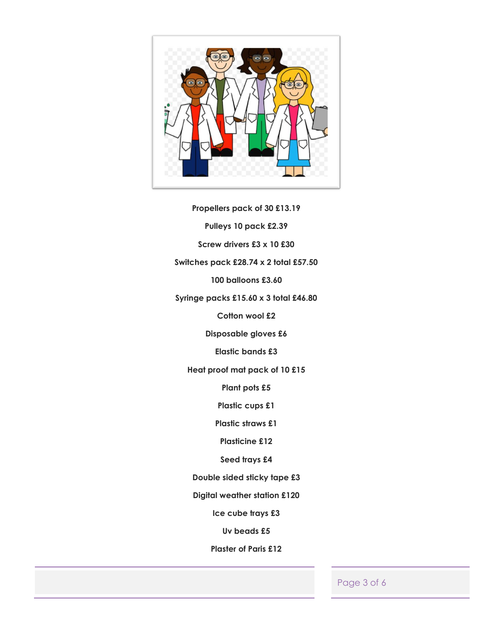

**Propellers pack of 30 £13.19 Pulleys 10 pack £2.39 Screw drivers £3 x 10 £30 Switches pack £28.74 x 2 total £57.50 100 balloons £3.60 Syringe packs £15.60 x 3 total £46.80 Cotton wool £2 Disposable gloves £6 Elastic bands £3 Heat proof mat pack of 10 £15 Plant pots £5 Plastic cups £1 Plastic straws £1 Plasticine £12 Seed trays £4 Double sided sticky tape £3 Digital weather station £120 Ice cube trays £3**

**Uv beads £5**

**Plaster of Paris £12**

Page 3 of 6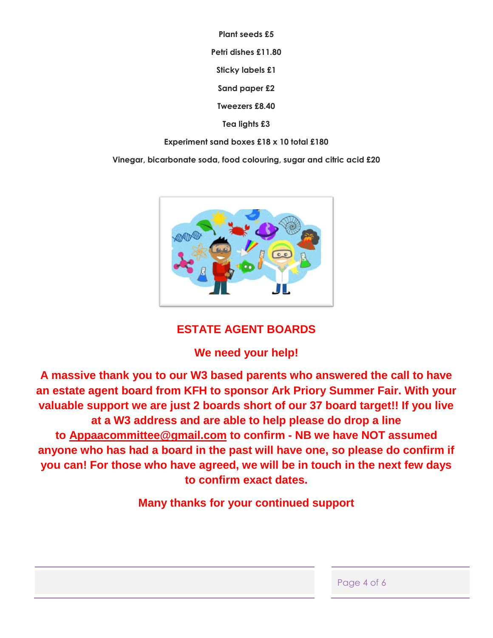**Plant seeds £5**

**Petri dishes £11.80**

**Sticky labels £1**

**Sand paper £2**

**Tweezers £8.40**

**Tea lights £3**

**Experiment sand boxes £18 x 10 total £180**

**Vinegar, bicarbonate soda, food colouring, sugar and citric acid £20**



### **ESTATE AGENT BOARDS**

## **We need your help!**

**A massive thank you to our W3 based parents who answered the call to have an estate agent board from KFH to sponsor Ark Priory Summer Fair. With your valuable support we are just 2 boards short of our 37 board target!! If you live at a W3 address and are able to help please do drop a line to [Appaacommittee@gmail.com](mailto:Appaacommittee@gmail.com) to confirm - NB we have NOT assumed anyone who has had a board in the past will have one, so please do confirm if you can! For those who have agreed, we will be in touch in the next few days to confirm exact dates.**

**Many thanks for your continued support**

| Page 4 of 6 |  |  |  |
|-------------|--|--|--|
|-------------|--|--|--|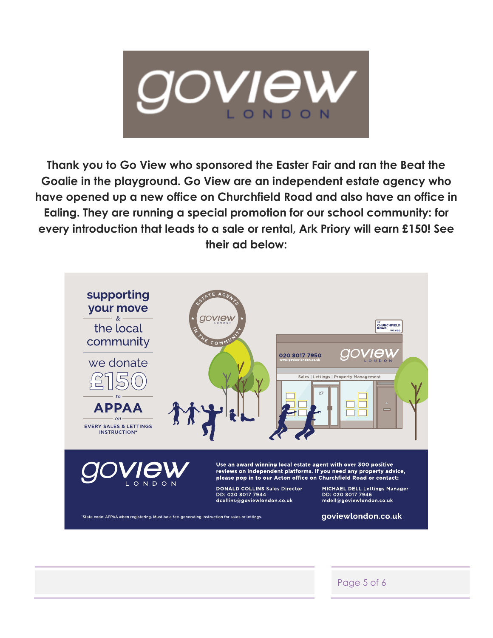

**Thank you to Go View who sponsored the Easter Fair and ran the Beat the Goalie in the playground. Go View are an independent estate agency who have opened up a new office on Churchfield Road and also have an office in Ealing. They are running a special promotion for our school community: for every introduction that leads to a sale or rental, Ark Priory will earn £150! See their ad below:**



Page 5 of 6